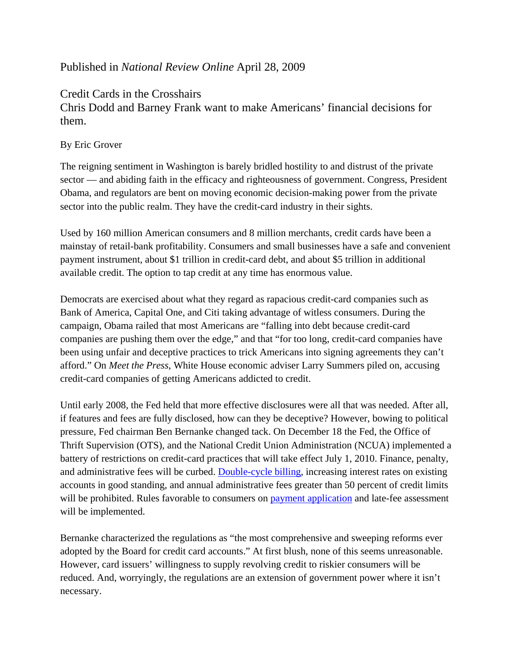## Published in *National Review Online* April 28, 2009

Credit Cards in the Crosshairs

Chris Dodd and Barney Frank want to make Americans' financial decisions for them.

## By Eric Grover

The reigning sentiment in Washington is barely bridled hostility to and distrust of the private sector — and abiding faith in the efficacy and righteousness of government. Congress, President Obama, and regulators are bent on moving economic decision-making power from the private sector into the public realm. They have the credit-card industry in their sights.

Used by 160 million American consumers and 8 million merchants, credit cards have been a mainstay of retail-bank profitability. Consumers and small businesses have a safe and convenient payment instrument, about \$1 trillion in credit-card debt, and about \$5 trillion in additional available credit. The option to tap credit at any time has enormous value.

Democrats are exercised about what they regard as rapacious credit-card companies such as Bank of America, Capital One, and Citi taking advantage of witless consumers. During the campaign, Obama railed that most Americans are "falling into debt because credit-card companies are pushing them over the edge," and that "for too long, credit-card companies have been using unfair and deceptive practices to trick Americans into signing agreements they can't afford." On *Meet the Press*, White House economic adviser Larry Summers piled on, accusing credit-card companies of getting Americans addicted to credit.

Until early 2008, the Fed held that more effective disclosures were all that was needed. After all, if features and fees are fully disclosed, how can they be deceptive? However, bowing to political pressure, Fed chairman Ben Bernanke changed tack. On December 18 the Fed, the Office of Thrift Supervision (OTS), and the National Credit Union Administration (NCUA) implemented a battery of restrictions on credit-card practices that will take effect July 1, 2010. Finance, penalty, and administrative fees will be curbed. Double-cycle billing, increasing interest rates on existing accounts in good standing, and annual administrative fees greater than 50 percent of credit limits will be prohibited. Rules favorable to consumers on payment application and late-fee assessment will be implemented.

Bernanke characterized the regulations as "the most comprehensive and sweeping reforms ever adopted by the Board for credit card accounts." At first blush, none of this seems unreasonable. However, card issuers' willingness to supply revolving credit to riskier consumers will be reduced. And, worryingly, the regulations are an extension of government power where it isn't necessary.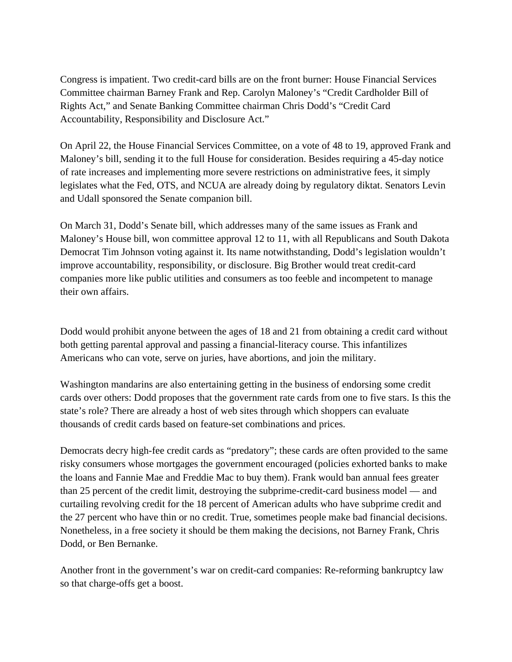Congress is impatient. Two credit-card bills are on the front burner: House Financial Services Committee chairman Barney Frank and Rep. Carolyn Maloney's "Credit Cardholder Bill of Rights Act," and Senate Banking Committee chairman Chris Dodd's "Credit Card Accountability, Responsibility and Disclosure Act."

On April 22, the House Financial Services Committee, on a vote of 48 to 19, approved Frank and Maloney's bill, sending it to the full House for consideration. Besides requiring a 45-day notice of rate increases and implementing more severe restrictions on administrative fees, it simply legislates what the Fed, OTS, and NCUA are already doing by regulatory diktat. Senators Levin and Udall sponsored the Senate companion bill.

On March 31, Dodd's Senate bill, which addresses many of the same issues as Frank and Maloney's House bill, won committee approval 12 to 11, with all Republicans and South Dakota Democrat Tim Johnson voting against it. Its name notwithstanding, Dodd's legislation wouldn't improve accountability, responsibility, or disclosure. Big Brother would treat credit-card companies more like public utilities and consumers as too feeble and incompetent to manage their own affairs.

Dodd would prohibit anyone between the ages of 18 and 21 from obtaining a credit card without both getting parental approval and passing a financial-literacy course. This infantilizes Americans who can vote, serve on juries, have abortions, and join the military.

Washington mandarins are also entertaining getting in the business of endorsing some credit cards over others: Dodd proposes that the government rate cards from one to five stars. Is this the state's role? There are already a host of web sites through which shoppers can evaluate thousands of credit cards based on feature-set combinations and prices.

Democrats decry high-fee credit cards as "predatory"; these cards are often provided to the same risky consumers whose mortgages the government encouraged (policies exhorted banks to make the loans and Fannie Mae and Freddie Mac to buy them). Frank would ban annual fees greater than 25 percent of the credit limit, destroying the subprime-credit-card business model — and curtailing revolving credit for the 18 percent of American adults who have subprime credit and the 27 percent who have thin or no credit. True, sometimes people make bad financial decisions. Nonetheless, in a free society it should be them making the decisions, not Barney Frank, Chris Dodd, or Ben Bernanke.

Another front in the government's war on credit-card companies: Re-reforming bankruptcy law so that charge-offs get a boost.